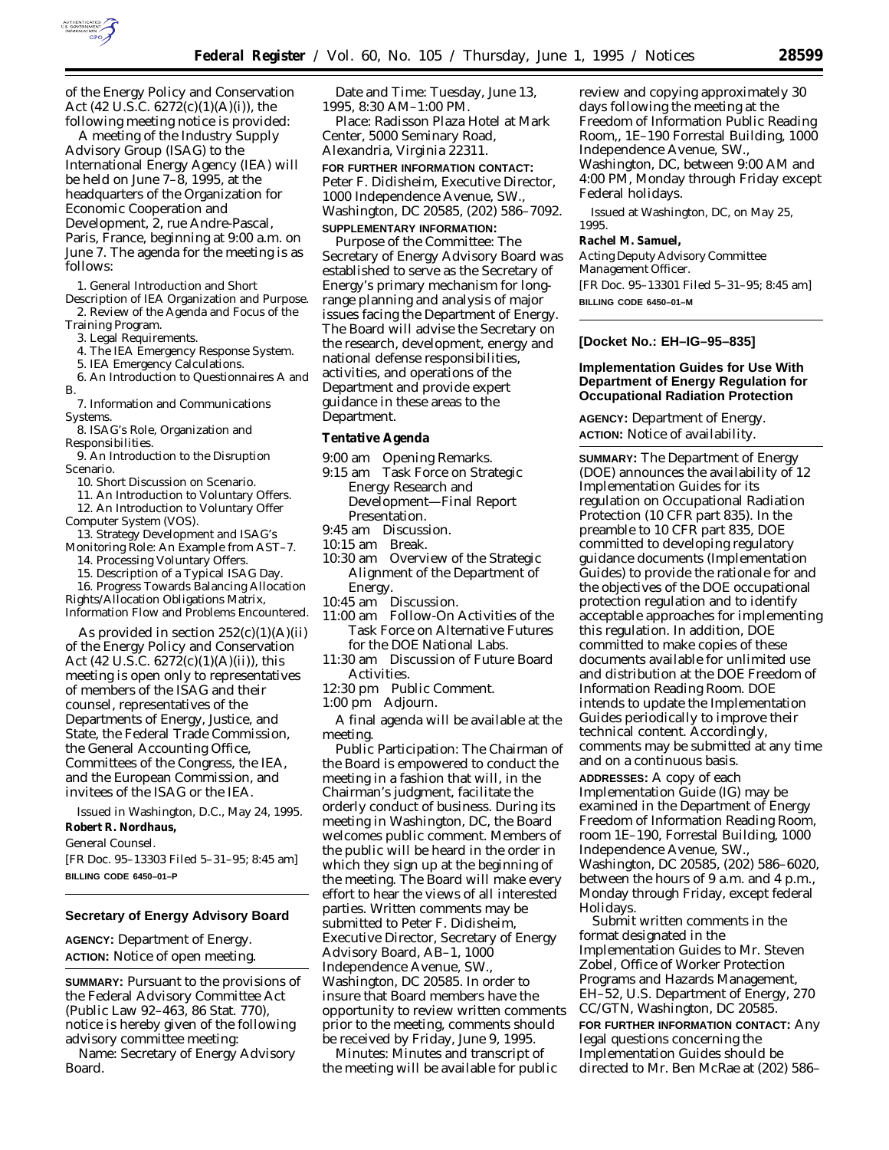

of the Energy Policy and Conservation Act (42 U.S.C.  $6272(c)(1)(A)(i)$ ), the following meeting notice is provided:

A meeting of the Industry Supply Advisory Group (ISAG) to the International Energy Agency (IEA) will be held on June 7–8, 1995, at the headquarters of the Organization for Economic Cooperation and Development, 2, rue Andre-Pascal, Paris, France, beginning at 9:00 a.m. on June 7. The agenda for the meeting is as follows:

1. General Introduction and Short

Description of IEA Organization and Purpose. 2. Review of the Agenda and Focus of the Training Program.

3. Legal Requirements.

4. The IEA Emergency Response System.

5. IEA Emergency Calculations.

6. An Introduction to Questionnaires A and

- B.
- 7. Information and Communications
- Systems. 8. ISAG's Role, Organization and
- Responsibilities.

9. An Introduction to the Disruption Scenario.

10. Short Discussion on Scenario.

11. An Introduction to Voluntary Offers. 12. An Introduction to Voluntary Offer Computer System (VOS).

13. Strategy Development and ISAG's Monitoring Role: An Example from AST–7.

14. Processing Voluntary Offers.

15. Description of a Typical ISAG Day.

16. Progress Towards Balancing Allocation Rights/Allocation Obligations Matrix, Information Flow and Problems Encountered.

As provided in section  $252(c)(1)(A)(ii)$ of the Energy Policy and Conservation Act (42 U.S.C.  $6272(c)(1)(A)(ii)$ ), this meeting is open only to representatives of members of the ISAG and their counsel, representatives of the Departments of Energy, Justice, and State, the Federal Trade Commission, the General Accounting Office, Committees of the Congress, the IEA, and the European Commission, and invitees of the ISAG or the IEA.

Issued in Washington, D.C., May 24, 1995. **Robert R. Nordhaus,**

*General Counsel.*

[FR Doc. 95–13303 Filed 5–31–95; 8:45 am] **BILLING CODE 6450–01–P**

#### **Secretary of Energy Advisory Board**

**AGENCY:** Department of Energy. **ACTION:** Notice of open meeting.

**SUMMARY:** Pursuant to the provisions of the Federal Advisory Committee Act (Public Law 92–463, 86 Stat. 770), notice is hereby given of the following advisory committee meeting: Name: Secretary of Energy Advisory Board.

Date and Time: Tuesday, June 13, 1995, 8:30 AM–1:00 PM.

Place: Radisson Plaza Hotel at Mark Center, 5000 Seminary Road, Alexandria, Virginia 22311.

# **FOR FURTHER INFORMATION CONTACT:** Peter F. Didisheim, Executive Director, 1000 Independence Avenue, SW., Washington, DC 20585, (202) 586–7092.

#### **SUPPLEMENTARY INFORMATION:**

Purpose of the Committee: The Secretary of Energy Advisory Board was established to serve as the Secretary of Energy's primary mechanism for longrange planning and analysis of major issues facing the Department of Energy. The Board will advise the Secretary on the research, development, energy and national defense responsibilities, activities, and operations of the Department and provide expert guidance in these areas to the Department.

#### **Tentative Agenda**

- 9:00 am Opening Remarks.
- 9:15 am Task Force on Strategic Energy Research and Development—Final Report Presentation.
- 9:45 am Discussion.
- 10:15 am Break.
- 10:30 am Overview of the Strategic Alignment of the Department of **Energy**
- 10:45 am Discussion.
- 11:00 am Follow-On Activities of the Task Force on Alternative Futures for the DOE National Labs.
- 11:30 am Discussion of Future Board Activities.
- 12:30 pm Public Comment.
- 1:00 pm Adjourn.

A final agenda will be available at the meeting.

Public Participation: The Chairman of the Board is empowered to conduct the meeting in a fashion that will, in the Chairman's judgment, facilitate the orderly conduct of business. During its meeting in Washington, DC, the Board welcomes public comment. Members of the public will be heard in the order in which they sign up at the beginning of the meeting. The Board will make every effort to hear the views of all interested parties. Written comments may be submitted to Peter F. Didisheim, Executive Director, Secretary of Energy Advisory Board, AB–1, 1000 Independence Avenue, SW., Washington, DC 20585. In order to insure that Board members have the opportunity to review written comments prior to the meeting, comments should be received by Friday, June 9, 1995.

Minutes: Minutes and transcript of the meeting will be available for public review and copying approximately 30 days following the meeting at the Freedom of Information Public Reading Room,, 1E–190 Forrestal Building, 1000 Independence Avenue, SW., Washington, DC, between 9:00 AM and 4:00 PM, Monday through Friday except Federal holidays.

Issued at Washington, DC, on May 25, 1995.

#### **Rachel M. Samuel,**

*Acting Deputy Advisory Committee Management Officer.*

[FR Doc. 95–13301 Filed 5–31–95; 8:45 am] **BILLING CODE 6450–01–M**

# **[Docket No.: EH–IG–95–835]**

## **Implementation Guides for Use With Department of Energy Regulation for Occupational Radiation Protection**

**AGENCY:** Department of Energy. **ACTION:** Notice of availability.

**SUMMARY:** The Department of Energy (DOE) announces the availability of 12 Implementation Guides for its regulation on Occupational Radiation Protection (10 CFR part 835). In the preamble to 10 CFR part 835, DOE committed to developing regulatory guidance documents (Implementation Guides) to provide the rationale for and the objectives of the DOE occupational protection regulation and to identify acceptable approaches for implementing this regulation. In addition, DOE committed to make copies of these documents available for unlimited use and distribution at the DOE Freedom of Information Reading Room. DOE intends to update the Implementation Guides periodically to improve their technical content. Accordingly, comments may be submitted at any time and on a continuous basis.

**ADDRESSES:** A copy of each Implementation Guide (IG) may be examined in the Department of Energy Freedom of Information Reading Room, room 1E–190, Forrestal Building, 1000 Independence Avenue, SW., Washington, DC 20585, (202) 586–6020, between the hours of 9 a.m. and 4 p.m., Monday through Friday, except federal Holidays.

Submit written comments in the format designated in the Implementation Guides to Mr. Steven Zobel, Office of Worker Protection Programs and Hazards Management, EH–52, U.S. Department of Energy, 270 CC/GTN, Washington, DC 20585.

**FOR FURTHER INFORMATION CONTACT:** Any legal questions concerning the Implementation Guides should be directed to Mr. Ben McRae at (202) 586–